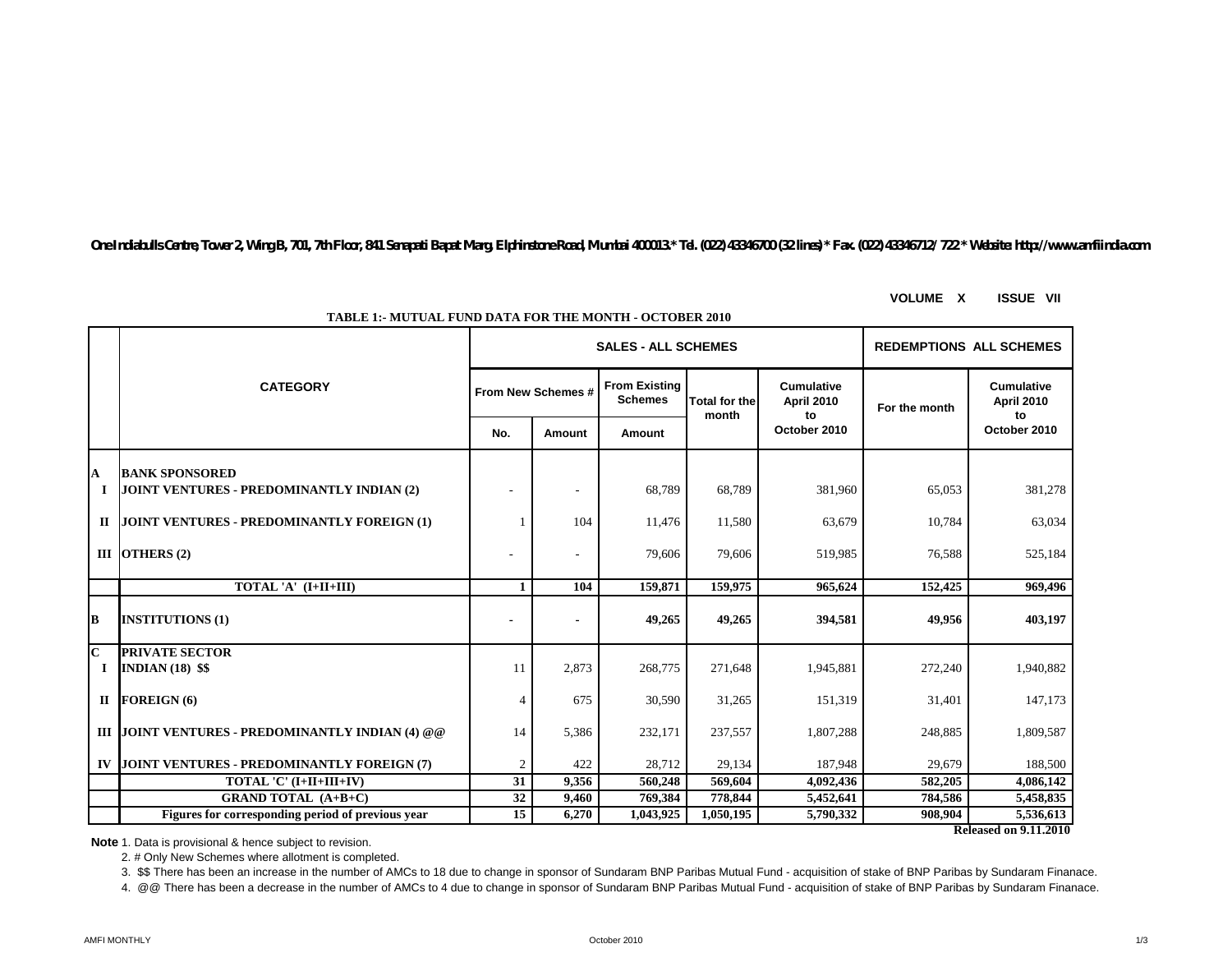*One Indiabulls Centre, Tower 2, Wing B, 701, 7th Floor, 841 Senapati Bapat Marg, Elphinstone Road, Mumbai 400013.\* Tel. (022) 43346700 (32 lines) \* Fax. (022) 43346712/ 722 \* Website: http://www.amfiindia.com*

**VOLUME X ISSUE VII**

|           |                                                   |                          |                    | <b>SALES - ALL SCHEMES</b>             | <b>REDEMPTIONS ALL SCHEMES</b> |                                              |               |                                              |  |
|-----------|---------------------------------------------------|--------------------------|--------------------|----------------------------------------|--------------------------------|----------------------------------------------|---------------|----------------------------------------------|--|
|           | <b>CATEGORY</b>                                   |                          | From New Schemes # | <b>From Existing</b><br><b>Schemes</b> | <b>Total for the</b><br>month  | <b>Cumulative</b><br><b>April 2010</b><br>to | For the month | <b>Cumulative</b><br><b>April 2010</b><br>to |  |
|           |                                                   | No.                      | Amount             | Amount                                 |                                | October 2010                                 |               | October 2010                                 |  |
| A         | <b>BANK SPONSORED</b>                             |                          |                    |                                        |                                |                                              |               |                                              |  |
| $\bf{I}$  | JOINT VENTURES - PREDOMINANTLY INDIAN (2)         |                          |                    | 68,789                                 | 68,789                         | 381,960                                      | 65,053        | 381,278                                      |  |
| $\Pi$     | JOINT VENTURES - PREDOMINANTLY FOREIGN (1)        |                          | 104                | 11,476                                 | 11,580                         | 63,679                                       | 10,784        | 63,034                                       |  |
|           | III OTHERS $(2)$                                  | $\overline{\phantom{0}}$ | ٠                  | 79,606                                 | 79,606                         | 519,985                                      | 76,588        | 525,184                                      |  |
|           | TOTAL 'A' (I+II+III)                              | 1                        | 104                | 159,871                                | 159,975                        | 965,624                                      | 152,425       | 969,496                                      |  |
| B         | <b>INSTITUTIONS (1)</b>                           |                          |                    | 49,265                                 | 49,265                         | 394,581                                      | 49.956        | 403,197                                      |  |
| C<br>1    | <b>PRIVATE SECTOR</b><br><b>INDIAN (18) \$\$</b>  | 11                       | 2,873              | 268,775                                | 271,648                        | 1,945,881                                    | 272,240       | 1,940,882                                    |  |
| П         | <b>FOREIGN (6)</b>                                | 4                        | 675                | 30,590                                 | 31,265                         | 151,319                                      | 31,401        | 147,173                                      |  |
|           | III JOINT VENTURES - PREDOMINANTLY INDIAN (4) @ @ | 14                       | 5,386              | 232,171                                | 237,557                        | 1,807,288                                    | 248,885       | 1,809,587                                    |  |
| $\bf{IV}$ | JOINT VENTURES - PREDOMINANTLY FOREIGN (7)        | $\overline{c}$           | 422                | 28,712                                 | 29,134                         | 187,948                                      | 29,679        | 188,500                                      |  |
|           | TOTAL 'C' (I+II+III+IV)                           | 31                       | 9,356              | 560,248                                | 569,604                        | 4,092,436                                    | 582,205       | 4,086,142                                    |  |
|           | <b>GRAND TOTAL (A+B+C)</b>                        | 32                       | 9,460              | 769,384                                | 778,844                        | 5,452,641                                    | 784,586       | 5,458,835                                    |  |
|           | Figures for corresponding period of previous vear | 15                       | 6,270              | 1,043,925                              | 1,050,195                      | 5,790,332                                    | 908,904       | 5,536,613                                    |  |
|           | <b>Released on 9.11.2010</b>                      |                          |                    |                                        |                                |                                              |               |                                              |  |

**TABLE 1:- MUTUAL FUND DATA FOR THE MONTH - OCTOBER 2010**

**Note**:1. Data is provisional & hence subject to revision.

2. # Only New Schemes where allotment is completed.

3. \$\$ There has been an increase in the number of AMCs to 18 due to change in sponsor of Sundaram BNP Paribas Mutual Fund - acquisition of stake of BNP Paribas by Sundaram Finanace.

4. @@ There has been a decrease in the number of AMCs to 4 due to change in sponsor of Sundaram BNP Paribas Mutual Fund - acquisition of stake of BNP Paribas by Sundaram Finanace.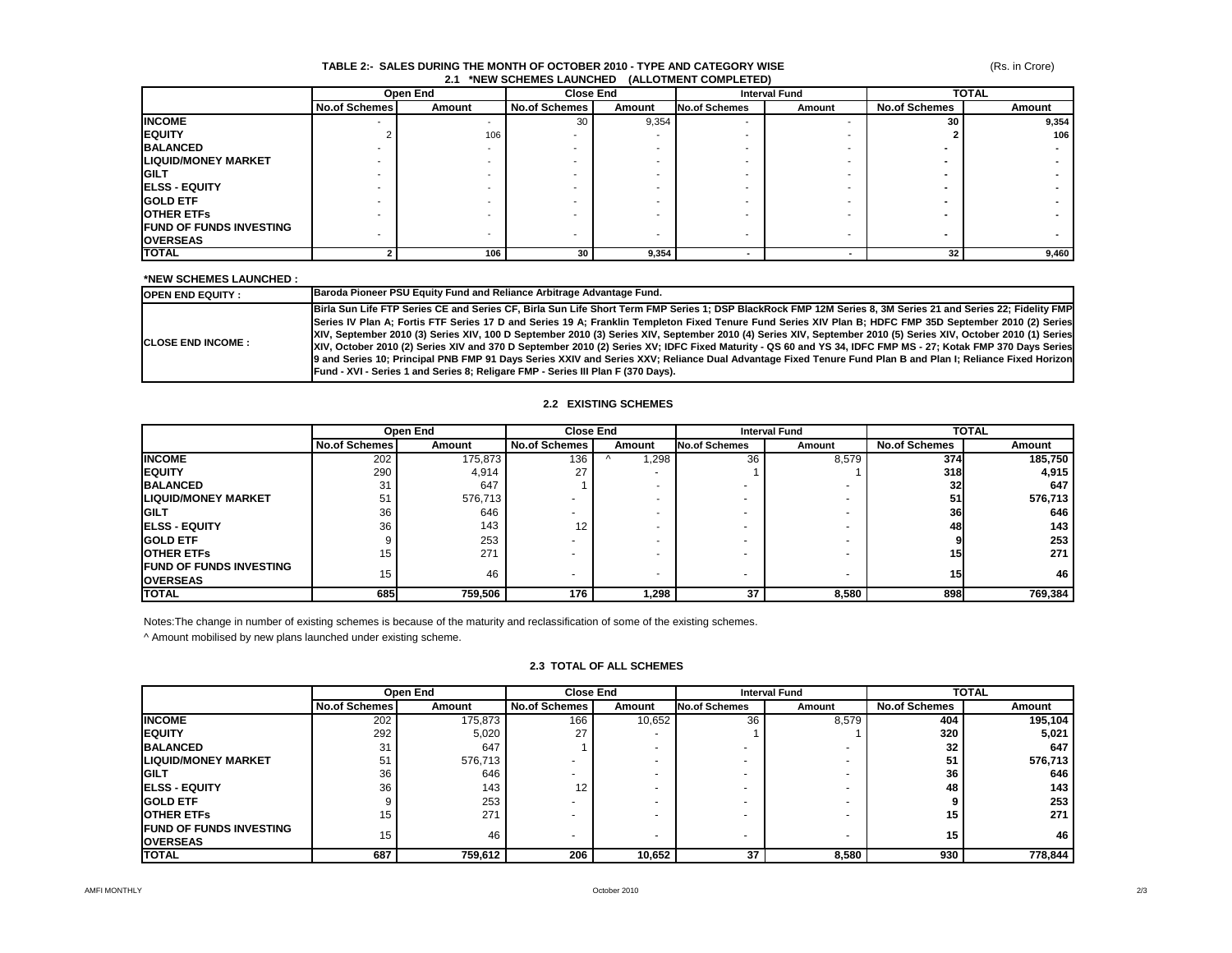### **TABLE 2:- SALES DURING THE MONTH OF OCTOBER 2010 - TYPE AND CATEGORY WISE 2.1 \*NEW SCHEMES LAUNCHED (ALLOTMENT COMPLETED)**

(Rs. in Crore)

|                                | Open End             |        | <b>Close End</b>     |        | <b>Interval Fund</b> |        | <b>TOTAL</b>         |        |
|--------------------------------|----------------------|--------|----------------------|--------|----------------------|--------|----------------------|--------|
|                                | <b>No.of Schemes</b> | Amount | <b>No.of Schemes</b> | Amount | No.of Schemes        | Amount | <b>No.of Schemes</b> | Amount |
| <b>INCOME</b>                  |                      |        | 30                   | 9,354  | -                    |        | 30                   | 9,354  |
| <b>IEQUITY</b>                 |                      | 106    |                      |        |                      |        |                      | 106    |
| <b>BALANCED</b>                |                      |        |                      |        |                      |        |                      |        |
| <b>LIQUID/MONEY MARKET</b>     |                      |        |                      |        |                      |        |                      |        |
| <b>IGILT</b>                   |                      |        |                      |        |                      |        |                      |        |
| <b>ELSS - EQUITY</b>           |                      |        |                      |        |                      |        |                      |        |
| <b>IGOLD ETF</b>               |                      |        |                      |        |                      |        |                      |        |
| <b>IOTHER ETFS</b>             |                      |        |                      |        |                      |        |                      |        |
| <b>FUND OF FUNDS INVESTING</b> |                      |        |                      |        |                      |        |                      |        |
| <b>OVERSEAS</b>                |                      |        |                      | -      | -                    |        |                      |        |
| <b>TOTAL</b>                   |                      | 106    | 30                   | 9,354  |                      |        | 32                   | 9,460  |

## **\*NEW SCHEMES LAUNCHED :**

| <b>IOPEN END EQUITY :</b>  | Baroda Pioneer PSU Equity Fund and Reliance Arbitrage Advantage Fund.                                                                                                                                                                                                                                                                                                                                                                                                                                                                                                                                                                                                                                                                                                                                                                                                                                       |
|----------------------------|-------------------------------------------------------------------------------------------------------------------------------------------------------------------------------------------------------------------------------------------------------------------------------------------------------------------------------------------------------------------------------------------------------------------------------------------------------------------------------------------------------------------------------------------------------------------------------------------------------------------------------------------------------------------------------------------------------------------------------------------------------------------------------------------------------------------------------------------------------------------------------------------------------------|
| <b>ICLOSE END INCOME :</b> | Birla Sun Life FTP Series CE and Series CF, Birla Sun Life Short Term FMP Series 1; DSP BlackRock FMP 12M Series 8, 3M Series 21 and Series 22; Fidelity FMP<br>Series IV Plan A; Fortis FTF Series 17 D and Series 19 A; Franklin Templeton Fixed Tenure Fund Series XIV Plan B; HDFC FMP 35D September 2010 (2) Series<br>XIV, September 2010 (3) Series XIV, 100 D September 2010 (3) Series XIV, September 2010 (4) Series XIV, September 2010 (5) Series XIV, October 2010 (1) Series<br>XIV, October 2010 (2) Series XIV and 370 D September 2010 (2) Series XV; IDFC Fixed Maturity - QS 60 and YS 34, IDFC FMP MS - 27; Kotak FMP 370 Days Series<br>9 and Series 10; Principal PNB FMP 91 Days Series XXIV and Series XXV; Reliance Dual Advantage Fixed Tenure Fund Plan B and Plan I; Reliance Fixed Horizon<br>Fund - XVI - Series 1 and Series 8; Religare FMP - Series III Plan F (370 Days). |

# **2.2 EXISTING SCHEMES**

|                                                    | Open End             |         | <b>Close End</b>     |        | <b>Interval Fund</b> |        | <b>TOTAL</b>         |         |
|----------------------------------------------------|----------------------|---------|----------------------|--------|----------------------|--------|----------------------|---------|
|                                                    | <b>No.of Schemes</b> | Amount  | <b>No.of Schemes</b> | Amount | <b>No.of Schemes</b> | Amount | <b>No.of Schemes</b> | Amount  |
| <b>INCOME</b>                                      | 202                  | 175,873 | 136                  | .298   | 36                   | 8,579  | 374                  | 185,750 |
| <b>IEQUITY</b>                                     | 290                  | 4,914   | 27                   |        |                      |        | <b>318</b>           | 4,915   |
| <b>BALANCED</b>                                    | 31                   | 647     |                      |        |                      |        | 32 <sub>l</sub>      | 647     |
| <b>LIQUID/MONEY MARKET</b>                         | 51                   | 576,713 |                      |        |                      |        | 51                   | 576,713 |
| <b>IGILT</b>                                       | 36                   | 646     |                      |        |                      |        | 36                   | 646     |
| <b>IELSS - EQUITY</b>                              | 36                   | 143     | 12                   |        |                      |        | 48                   | 143     |
| <b>IGOLD ETF</b>                                   |                      | 253     |                      |        |                      |        |                      | 253     |
| <b>OTHER ETFS</b>                                  | 15                   | 271     |                      |        |                      |        | 15 <sup>1</sup>      | 271     |
| <b>IFUND OF FUNDS INVESTING</b><br><b>OVERSEAS</b> | 15                   | 46      |                      |        | -                    |        | 15 <sup>1</sup>      | 46      |
| <b>TOTAL</b>                                       | 685                  | 759,506 | 176                  | 298.،  | 37                   | 8,580  | 898                  | 769,384 |

Notes:The change in number of existing schemes is because of the maturity and reclassification of some of the existing schemes.

^ Amount mobilised by new plans launched under existing scheme.

# **2.3 TOTAL OF ALL SCHEMES**

|                                 | Open End             |         | <b>Close End</b>     |        | <b>Interval Fund</b> |        | <b>TOTAL</b>         |         |
|---------------------------------|----------------------|---------|----------------------|--------|----------------------|--------|----------------------|---------|
|                                 | <b>No.of Schemes</b> | Amount  | <b>No.of Schemes</b> | Amount | <b>No.of Schemes</b> | Amount | <b>No.of Schemes</b> | Amount  |
| <b>INCOME</b>                   | 202                  | 175,873 | 166                  | 10,652 | 36                   | 8,579  | 404                  | 195,104 |
| <b>IEQUITY</b>                  | 292                  | 5,020   | 27                   |        |                      |        | 320                  | 5,021   |
| <b>BALANCED</b>                 | 31                   | 647     |                      |        |                      |        | 32                   | 647     |
| <b>LIQUID/MONEY MARKET</b>      | 51                   | 576,713 |                      |        |                      |        | 51                   | 576,713 |
| <b>IGILT</b>                    | 36                   | 646     |                      |        |                      |        | 36                   | 646     |
| <b>IELSS - EQUITY</b>           | 36                   | 143     | 12                   |        |                      |        | 48                   | 143     |
| <b>GOLD ETF</b>                 |                      | 253     |                      |        |                      |        |                      | 253     |
| <b>IOTHER ETFS</b>              | 15                   | 271     |                      |        |                      |        | 15                   | 271     |
| <b>IFUND OF FUNDS INVESTING</b> | 15                   | 46      |                      | -      | $\overline{a}$       |        | 15.                  | 46      |
| <b>IOVERSEAS</b>                |                      |         |                      |        |                      | $\,$   |                      |         |
| <b>TOTAL</b>                    | 687                  | 759,612 | 206                  | 10,652 | 37                   | 8,580  | 930                  | 778,844 |